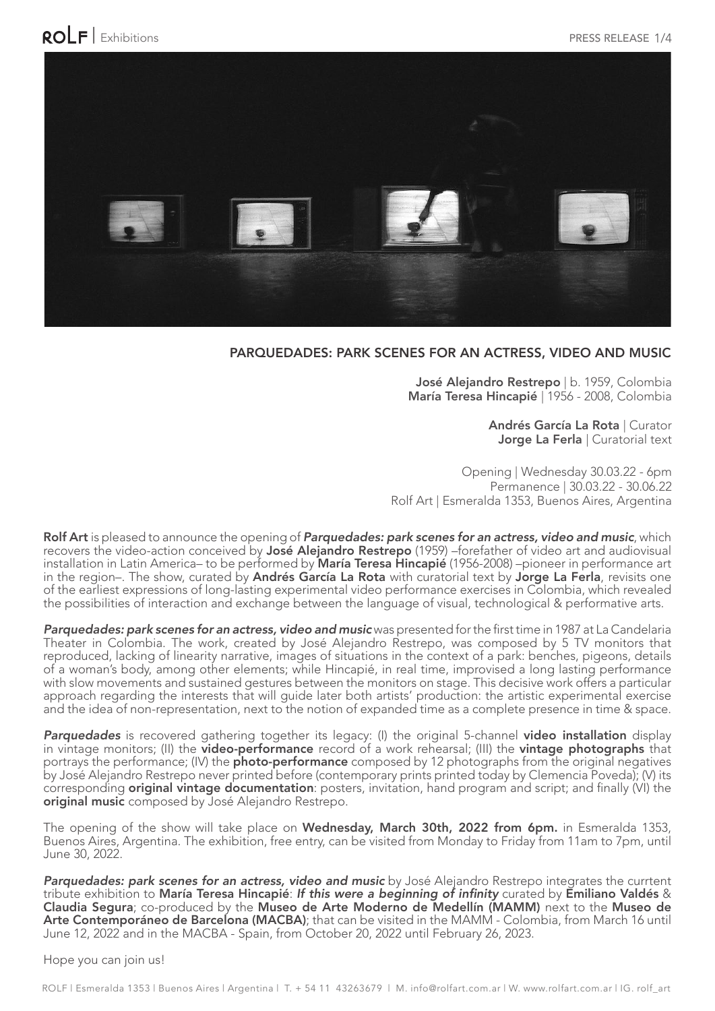

## PARQUEDADES: PARK SCENES FOR AN ACTRESS, VIDEO AND MUSIC

José Alejandro Restrepo | b. 1959, Colombia María Teresa Hincapié | 1956 - 2008, Colombia

> Andrés García La Rota | Curator Jorge La Ferla | Curatorial text

Opening | Wednesday 30.03.22 - 6pm Permanence | 30.03.22 - 30.06.22 Rolf Art | Esmeralda 1353, Buenos Aires, Argentina

Rolf Art is pleased to announce the opening of Parquedades: park scenes for an actress, video and music, which recovers the video-action conceived by José Alejandro Restrepo (1959) –forefather of video art and audiovisual installation in Latin America– to be performed by María Teresa Hincapié (1956-2008) –pioneer in performance art in the region–. The show, curated by Andrés García La Rota with curatorial text by Jorge La Ferla, revisits one of the earliest expressions of long-lasting experimental video performance exercises in Colombia, which revealed the possibilities of interaction and exchange between the language of visual, technological & performative arts.

Parquedades: park scenes for an actress, video and music was presented for the first time in 1987 at La Candelaria Theater in Colombia. The work, created by José Alejandro Restrepo, was composed by 5 TV monitors that reproduced, lacking of linearity narrative, images of situations in the context of a park: benches, pigeons, details of a woman's body, among other elements; while Hincapié, in real time, improvised a long lasting performance with slow movements and sustained gestures between the monitors on stage. This decisive work offers a particular approach regarding the interests that will guide later both artists' production: the artistic experimental exercise and the idea of non-representation, next to the notion of expanded time as a complete presence in time & space.

Parquedades is recovered gathering together its legacy: (I) the original 5-channel video installation display in vintage monitors; (II) the video-performance record of a work rehearsal; (III) the vintage photographs that portrays the performance; (IV) the **photo-performance** composed by 12 photographs from the original negatives by José Alejandro Restrepo never printed before (contemporary prints printed today by Clemencia Poveda); (V) its corresponding **original vintage documentation**: posters, invitation, hand program and script; and finally (VI) the original music composed by José Alejandro Restrepo.

The opening of the show will take place on Wednesday, March 30th, 2022 from 6pm. in Esmeralda 1353, Buenos Aires, Argentina. The exhibition, free entry, can be visited from Monday to Friday from 11am to 7pm, until June 30, 2022.

Parquedades: park scenes for an actress, video and music by José Alejandro Restrepo integrates the currtent tribute exhibition to María Teresa Hincapié: If this were a beginning of infinity curated by Emiliano Valdés & Claudia Segura; co-produced by the Museo de Arte Moderno de Medellín (MAMM) next to the Museo de Arte Contemporáneo de Barcelona (MACBA); that can be visited in the MAMM - Colombia, from March 16 until June 12, 2022 and in the MACBA - Spain, from October 20, 2022 until February 26, 2023.

Hope you can join us!

ROLF | Esmeralda 1353 | Buenos Aires | Argentina | T. + 54 11 43263679 | M. info@rolfart.com.ar | W. www.rolfart.com.ar | IG. rolf\_art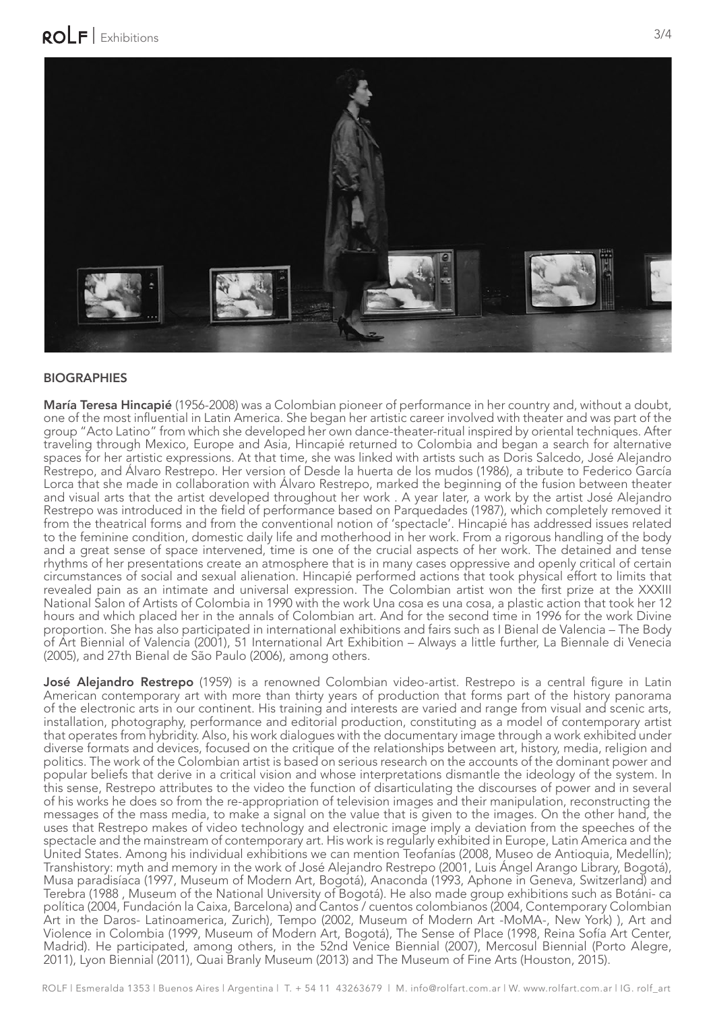

## **BIOGRAPHIES**

María Teresa Hincapié (1956-2008) was a Colombian pioneer of performance in her country and, without a doubt, one of the most infuential in Latin America. She began her artistic career involved with theater and was part of the group "Acto Latino" from which she developed her own dance-theater-ritual inspired by oriental techniques. After traveling through Mexico, Europe and Asia, Hincapié returned to Colombia and began a search for alternative spaces for her artistic expressions. At that time, she was linked with artists such as Doris Salcedo, José Alejandro Restrepo, and Álvaro Restrepo. Her version of Desde la huerta de los mudos (1986), a tribute to Federico García Lorca that she made in collaboration with Álvaro Restrepo, marked the beginning of the fusion between theater and visual arts that the artist developed throughout her work . A year later, a work by the artist José Alejandro Restrepo was introduced in the feld of performance based on Parquedades (1987), which completely removed it from the theatrical forms and from the conventional notion of 'spectacle'. Hincapié has addressed issues related to the feminine condition, domestic daily life and motherhood in her work. From a rigorous handling of the body and a great sense of space intervened, time is one of the crucial aspects of her work. The detained and tense rhythms of her presentations create an atmosphere that is in many cases oppressive and openly critical of certain circumstances of social and sexual alienation. Hincapié performed actions that took physical effort to limits that revealed pain as an intimate and universal expression. The Colombian artist won the frst prize at the XXXIII National Salon of Artists of Colombia in 1990 with the work Una cosa es una cosa, a plastic action that took her 12 hours and which placed her in the annals of Colombian art. And for the second time in 1996 for the work Divine proportion. She has also participated in international exhibitions and fairs such as I Bienal de Valencia – The Body of Art Biennial of Valencia (2001), 51 International Art Exhibition – Always a little further, La Biennale di Venecia (2005), and 27th Bienal de São Paulo (2006), among others.

José Alejandro Restrepo (1959) is a renowned Colombian video-artist. Restrepo is a central figure in Latin American contemporary art with more than thirty years of production that forms part of the history panorama of the electronic arts in our continent. His training and interests are varied and range from visual and scenic arts, installation, photography, performance and editorial production, constituting as a model of contemporary artist that operates from hybridity. Also, his work dialogues with the documentary image through a work exhibited under diverse formats and devices, focused on the critique of the relationships between art, history, media, religion and politics. The work of the Colombian artist is based on serious research on the accounts of the dominant power and popular beliefs that derive in a critical vision and whose interpretations dismantle the ideology of the system. In this sense, Restrepo attributes to the video the function of disarticulating the discourses of power and in several of his works he does so from the re-appropriation of television images and their manipulation, reconstructing the messages of the mass media, to make a signal on the value that is given to the images. On the other hand, the uses that Restrepo makes of video technology and electronic image imply a deviation from the speeches of the spectacle and the mainstream of contemporary art. His work is regularly exhibited in Europe, Latin America and the United States. Among his individual exhibitions we can mention Teofanías (2008, Museo de Antioquia, Medellín); Transhistory: myth and memory in the work of José Alejandro Restrepo (2001, Luis Ángel Arango Library, Bogotá), Musa paradisíaca (1997, Museum of Modern Art, Bogotá), Anaconda (1993, Aphone in Geneva, Switzerland) and Terebra (1988 , Museum of the National University of Bogotá). He also made group exhibitions such as Botáni- ca política (2004, Fundación la Caixa, Barcelona) and Cantos / cuentos colombianos (2004, Contemporary Colombian Art in the Daros- Latinoamerica, Zurich), Tempo (2002, Museum of Modern Art -MoMA-, New York) ), Art and Violence in Colombia (1999, Museum of Modern Art, Bogotá), The Sense of Place (1998, Reina Sofía Art Center, Madrid). He participated, among others, in the 52nd Venice Biennial (2007), Mercosul Biennial (Porto Alegre, 2011), Lyon Biennial (2011), Quai Branly Museum (2013) and The Museum of Fine Arts (Houston, 2015).